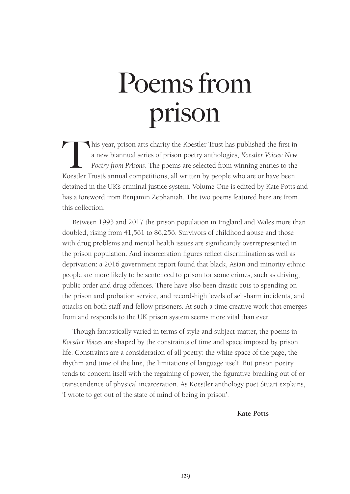# Poems from prison

This year, prison arts charity the Koestler Trust has published the first in a new biannual series of prison poetry anthologies, *Koestler Voices: New Poetry from Prisons*. The poems are selected from winning entries to the Koestler Trust's annual competitions, all written by people who are or have been detained in the UK's criminal justice system. Volume One is edited by Kate Potts and has a foreword from Benjamin Zephaniah. The two poems featured here are from this collection.

Between 1993 and 2017 the prison population in England and Wales more than doubled, rising from 41,561 to 86,256. Survivors of childhood abuse and those with drug problems and mental health issues are significantly overrepresented in the prison population. And incarceration figures reflect discrimination as well as deprivation: a 2016 government report found that black, Asian and minority ethnic people are more likely to be sentenced to prison for some crimes, such as driving, public order and drug offences. There have also been drastic cuts to spending on the prison and probation service, and record-high levels of self-harm incidents, and attacks on both staff and fellow prisoners. At such a time creative work that emerges from and responds to the UK prison system seems more vital than ever.

Though fantastically varied in terms of style and subject-matter, the poems in *Koestler Voices* are shaped by the constraints of time and space imposed by prison life. Constraints are a consideration of all poetry: the white space of the page, the rhythm and time of the line, the limitations of language itself. But prison poetry tends to concern itself with the regaining of power, the figurative breaking out of or transcendence of physical incarceration. As Koestler anthology poet Stuart explains, 'I wrote to get out of the state of mind of being in prison'.

 **Kate Potts**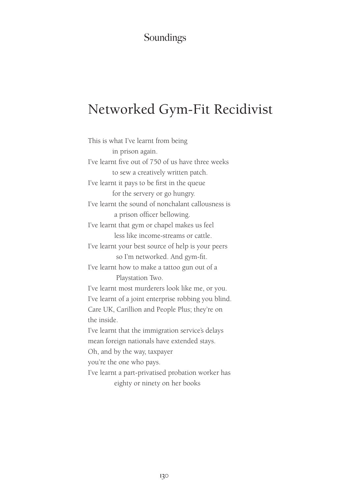#### Soundings

## Networked Gym-Fit Recidivist

This is what I've learnt from being in prison again. I've learnt five out of 750 of us have three weeks to sew a creatively written patch. I've learnt it pays to be first in the queue for the servery or go hungry. I've learnt the sound of nonchalant callousness is a prison officer bellowing. I've learnt that gym or chapel makes us feel less like income-streams or cattle. I've learnt your best source of help is your peers so I'm networked. And gym-fit. I've learnt how to make a tattoo gun out of a Playstation Two. I've learnt most murderers look like me, or you. I've learnt of a joint enterprise robbing you blind. Care UK, Carillion and People Plus; they're on the inside. I've learnt that the immigration service's delays mean foreign nationals have extended stays. Oh, and by the way, taxpayer you're the one who pays. I've learnt a part-privatised probation worker has eighty or ninety on her books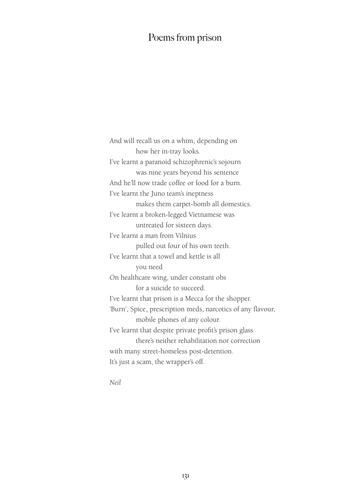#### Poems from prison

And will recall us on a whim, depending on how her in-tray looks. I've learnt a paranoid schizophrenic's sojourn was nine years beyond his sentence And he'll now trade coffee or food for a burn. I've learnt the Juno team's ineptness makes them carpet-bomb all domestics. I've learnt a broken-legged Vietnamese was untreated for sixteen days. I've learnt a man from Vilnius pulled out four of his own teeth. I've learnt that a towel and kettle is all you need On healthcare wing, under constant obs for a suicide to succeed. I've learnt that prison is a Mecca for the shopper. 'Burn', Spice, prescription meds, narcotics of any flavour, mobile phones of any colour. I've learnt that despite private profit's prison glass there's neither rehabilitation nor correction with many street-homeless post-detention. It's just a scam, the wrapper's off.

*Neil*